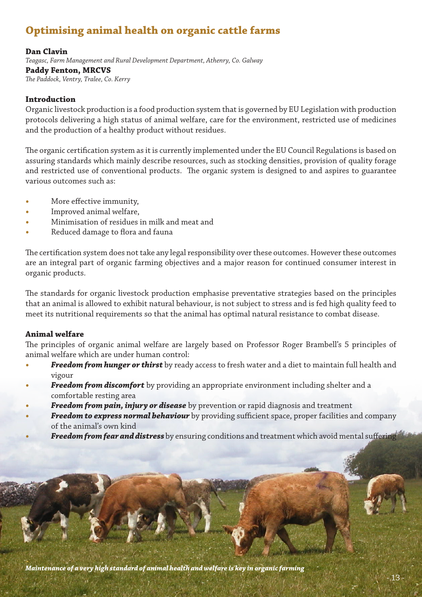# **Optimising animal health on organic cattle farms**

#### **Dan Clavin**

*Teagasc, Farm Management and Rural Development Department, Athenry, Co. Galway* **Paddy Fenton, MRCVS** *The Paddock, Ventry, Tralee, Co. Kerry*

#### **Introduction**

Organic livestock production is a food production system that is governed by EU Legislation with production protocols delivering a high status of animal welfare, care for the environment, restricted use of medicines and the production of a healthy product without residues.

The organic certification system as it is currently implemented under the EU Council Regulations is based on assuring standards which mainly describe resources, such as stocking densities, provision of quality forage and restricted use of conventional products. The organic system is designed to and aspires to guarantee various outcomes such as:

- More effective immunity,
- Improved animal welfare,
- **•**  Minimisation of residues in milk and meat and
- Reduced damage to flora and fauna

The certification system does not take any legal responsibility over these outcomes. However these outcomes are an integral part of organic farming objectives and a major reason for continued consumer interest in organic products.

The standards for organic livestock production emphasise preventative strategies based on the principles that an animal is allowed to exhibit natural behaviour, is not subject to stress and is fed high quality feed to meet its nutritional requirements so that the animal has optimal natural resistance to combat disease.

#### **Animal welfare**

The principles of organic animal welfare are largely based on Professor Roger Brambell's 5 principles of animal welfare which are under human control:

- **Freedom from hunger or thirst** by ready access to fresh water and a diet to maintain full health and vigour
- **Freedom from discomfort** by providing an appropriate environment including shelter and a comfortable resting area
- **Freedom from pain, injury or disease** by prevention or rapid diagnosis and treatment
- **Freedom to express normal behaviour** by providing sufficient space, proper facilities and company of the animal's own kind
- **Freedom from fear and distress** by ensuring conditions and treatment which avoid mental suffering

*Maintenance of a very high standard of animal health and welfare is key in organic farming*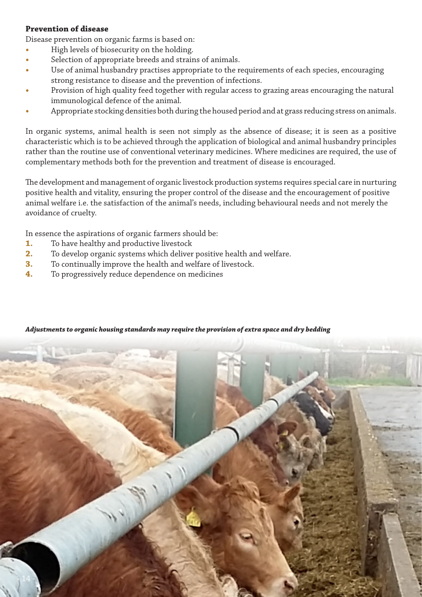## **Prevention of disease**

Disease prevention on organic farms is based on:

- High levels of biosecurity on the holding.
- Selection of appropriate breeds and strains of animals.
- Use of animal husbandry practises appropriate to the requirements of each species, encouraging strong resistance to disease and the prevention of infections.
- Provision of high quality feed together with regular access to grazing areas encouraging the natural immunological defence of the animal.
- Appropriate stocking densities both during the housed period and at grass reducing stress on animals.

In organic systems, animal health is seen not simply as the absence of disease; it is seen as a positive characteristic which is to be achieved through the application of biological and animal husbandry principles rather than the routine use of conventional veterinary medicines. Where medicines are required, the use of complementary methods both for the prevention and treatment of disease is encouraged.

The development and management of organic livestock production systems requires special care in nurturing positive health and vitality, ensuring the proper control of the disease and the encouragement of positive animal welfare i.e. the satisfaction of the animal's needs, including behavioural needs and not merely the avoidance of cruelty.

In essence the aspirations of organic farmers should be:

- **1.** To have healthy and productive livestock
- **2.** To develop organic systems which deliver positive health and welfare.
- **3.** To continually improve the health and welfare of livestock.
- **4.** To progressively reduce dependence on medicines



#### *Adjustments to organic housing standards may require the provision of extra space and dry bedding*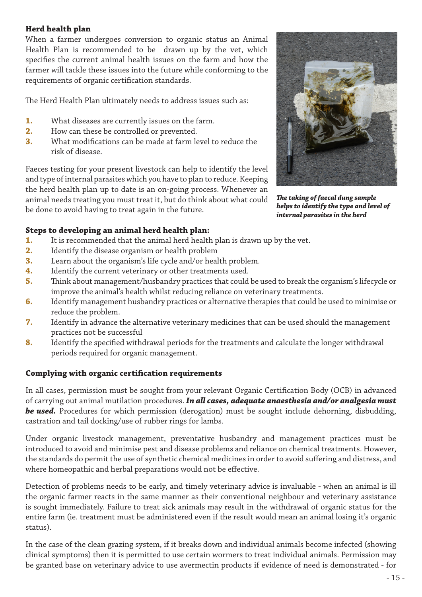# **Herd health plan**

When a farmer undergoes conversion to organic status an Animal Health Plan is recommended to be drawn up by the vet, which specifies the current animal health issues on the farm and how the farmer will tackle these issues into the future while conforming to the requirements of organic certification standards.

The Herd Health Plan ultimately needs to address issues such as:

- **1.** What diseases are currently issues on the farm.
- **2.** How can these be controlled or prevented.
- **3.** What modifications can be made at farm level to reduce the risk of disease.

Faeces testing for your present livestock can help to identify the level and type of internal parasites which you have to plan to reduce. Keeping the herd health plan up to date is an on-going process. Whenever an animal needs treating you must treat it, but do think about what could be done to avoid having to treat again in the future.



*The taking of faecal dung sample helps to identify the type and level of internal parasites in the herd*

# **Steps to developing an animal herd health plan:**

- **1.** It is recommended that the animal herd health plan is drawn up by the vet.
- **2.** Identify the disease organism or health problem
- **3.** Learn about the organism's life cycle and/or health problem.
- **4.** Identify the current veterinary or other treatments used.
- **5.** Think about management/husbandry practices that could be used to break the organism's lifecycle or improve the animal's health whilst reducing reliance on veterinary treatments.
- **6.** Identify management husbandry practices or alternative therapies that could be used to minimise or reduce the problem.
- **7.** Identify in advance the alternative veterinary medicines that can be used should the management practices not be successful
- **8.** Identify the specified withdrawal periods for the treatments and calculate the longer withdrawal periods required for organic management.

# **Complying with organic certification requirements**

In all cases, permission must be sought from your relevant Organic Certification Body (OCB) in advanced of carrying out animal mutilation procedures. *In all cases, adequate anaesthesia and/or analgesia must be used.* Procedures for which permission (derogation) must be sought include dehorning, disbudding, castration and tail docking/use of rubber rings for lambs.

Under organic livestock management, preventative husbandry and management practices must be introduced to avoid and minimise pest and disease problems and reliance on chemical treatments. However, the standards do permit the use of synthetic chemical medicines in order to avoid suffering and distress, and where homeopathic and herbal preparations would not be effective.

Detection of problems needs to be early, and timely veterinary advice is invaluable - when an animal is ill the organic farmer reacts in the same manner as their conventional neighbour and veterinary assistance is sought immediately. Failure to treat sick animals may result in the withdrawal of organic status for the entire farm (ie. treatment must be administered even if the result would mean an animal losing it's organic status).

In the case of the clean grazing system, if it breaks down and individual animals become infected (showing clinical symptoms) then it is permitted to use certain wormers to treat individual animals. Permission may be granted base on veterinary advice to use avermectin products if evidence of need is demonstrated - for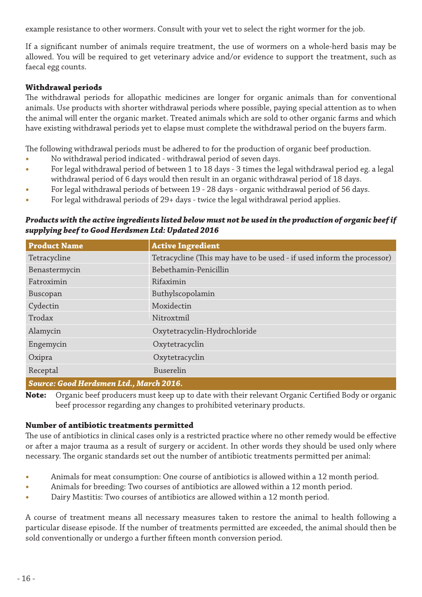example resistance to other wormers. Consult with your vet to select the right wormer for the job.

If a significant number of animals require treatment, the use of wormers on a whole-herd basis may be allowed. You will be required to get veterinary advice and/or evidence to support the treatment, such as faecal egg counts.

# **Withdrawal periods**

The withdrawal periods for allopathic medicines are longer for organic animals than for conventional animals. Use products with shorter withdrawal periods where possible, paying special attention as to when the animal will enter the organic market. Treated animals which are sold to other organic farms and which have existing withdrawal periods yet to elapse must complete the withdrawal period on the buyers farm.

The following withdrawal periods must be adhered to for the production of organic beef production.

- No withdrawal period indicated withdrawal period of seven days.
- For legal withdrawal period of between 1 to 18 days 3 times the legal withdrawal period eg. a legal withdrawal period of 6 days would then result in an organic withdrawal period of 18 days.
- For legal withdrawal periods of between 19 28 days organic withdrawal period of 56 days.
- For legal withdrawal periods of 29+ days twice the legal withdrawal period applies.

#### *Products with the active ingredients listed below must not be used in the production of organic beef if supplying beef to Good Herdsmen Ltd: Updated 2016*

| <b>Product Name</b>                     | <b>Active Ingredient</b>                                               |  |
|-----------------------------------------|------------------------------------------------------------------------|--|
| Tetracycline                            | Tetracycline (This may have to be used - if used inform the processor) |  |
| Benastermycin                           | Bebethamin-Penicillin                                                  |  |
| Fatroximin                              | Rifaximin                                                              |  |
| Buscopan                                | Buthylscopolamin                                                       |  |
| Cydectin                                | Moxidectin                                                             |  |
| Trodax                                  | Nitroxtmil                                                             |  |
| Alamycin                                | Oxytetracyclin-Hydrochloride                                           |  |
| Engemycin                               | Oxytetracyclin                                                         |  |
| Oxipra                                  | Oxytetracyclin                                                         |  |
| Receptal                                | Buserelin                                                              |  |
| Source: Good Herdsmen Ltd., March 2016. |                                                                        |  |

**Note:** Organic beef producers must keep up to date with their relevant Organic Certified Body or organic beef processor regarding any changes to prohibited veterinary products.

#### **Number of antibiotic treatments permitted**

The use of antibiotics in clinical cases only is a restricted practice where no other remedy would be effective or after a major trauma as a result of surgery or accident. In other words they should be used only where necessary. The organic standards set out the number of antibiotic treatments permitted per animal:

- Animals for meat consumption: One course of antibiotics is allowed within a 12 month period.
- Animals for breeding: Two courses of antibiotics are allowed within a 12 month period.
- Dairy Mastitis: Two courses of antibiotics are allowed within a 12 month period.

A course of treatment means all necessary measures taken to restore the animal to health following a particular disease episode. If the number of treatments permitted are exceeded, the animal should then be sold conventionally or undergo a further fifteen month conversion period.